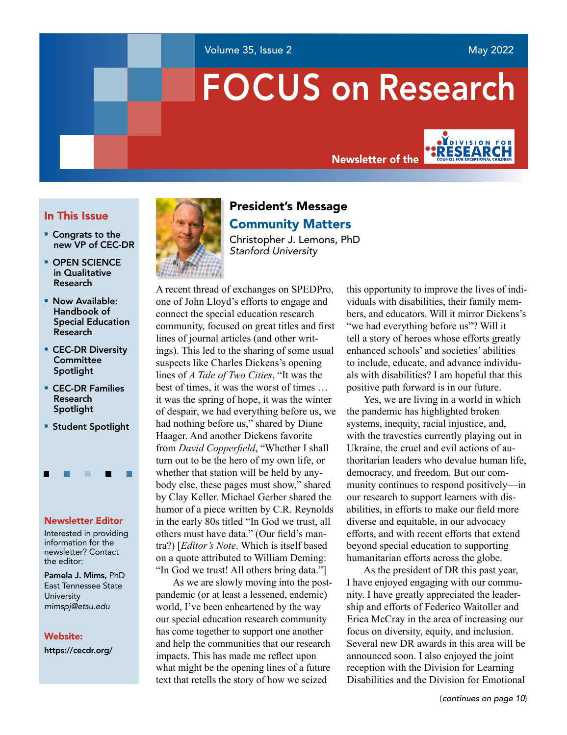#### Volume 35, Issue 2 May 2022

**N**DIVISION FOR

# FOCUS on Research

Newsletter of the

### In This Issue

- **▪** Congrats to the new VP of CEC-DR
- **▪** OPEN SCIENCE in Qualitative Research
- **▪** Now Available: Handbook of Special Education Research
- **▪** CEC-DR Diversity **Committee** Spotlight
- **▪** CEC-DR Families Research Spotlight
- **▪** Student Spotlight

г

#### Newsletter Editor

П

Interested in providing information for the newsletter? Contact the editor:

Pamela J. Mims, PhD East Tennessee State **University** *mimspj@etsu.edu*

# Website:

<https://cecdr.org/>



# President's Message Community Matters

Christopher J. Lemons, PhD *Stanford University*

A recent thread of exchanges on SPEDPro, one of John Lloyd's efforts to engage and connect the special education research community, focused on great titles and first lines of journal articles (and other writings). This led to the sharing of some usual suspects like Charles Dickens's opening lines of *A Tale of Two Cities*, "It was the best of times, it was the worst of times … it was the spring of hope, it was the winter of despair, we had everything before us, we had nothing before us," shared by Diane Haager. And another Dickens favorite from *David Copperfield*, "Whether I shall turn out to be the hero of my own life, or whether that station will be held by anybody else, these pages must show," shared by Clay Keller. Michael Gerber shared the humor of a piece written by C.R. Reynolds in the early 80s titled "In God we trust, all others must have data." (Our field's mantra?) [*Editor's Note*. Which is itself based on a quote attributed to William Deming: "In God we trust! All others bring data."]

As we are slowly moving into the postpandemic (or at least a lessened, endemic) world, I've been enheartened by the way our special education research community has come together to support one another and help the communities that our research impacts. This has made me reflect upon what might be the opening lines of a future text that retells the story of how we seized

this opportunity to improve the lives of individuals with disabilities, their family members, and educators. Will it mirror Dickens's "we had everything before us"? Will it tell a story of heroes whose efforts greatly enhanced schools' and societies' abilities to include, educate, and advance individuals with disabilities? I am hopeful that this positive path forward is in our future.

Yes, we are living in a world in which the pandemic has highlighted broken systems, inequity, racial injustice, and, with the travesties currently playing out in Ukraine, the cruel and evil actions of authoritarian leaders who devalue human life, democracy, and freedom. But our community continues to respond positively—in our research to support learners with disabilities, in efforts to make our field more diverse and equitable, in our advocacy efforts, and with recent efforts that extend beyond special education to supporting humanitarian efforts across the globe.

As the president of DR this past year, I have enjoyed engaging with our community. I have greatly appreciated the leadership and efforts of Federico Waitoller and Erica McCray in the area of increasing our focus on diversity, equity, and inclusion. Several new DR awards in this area will be announced soon. I also enjoyed the joint reception with the Division for Learning Disabilities and the Division for Emotional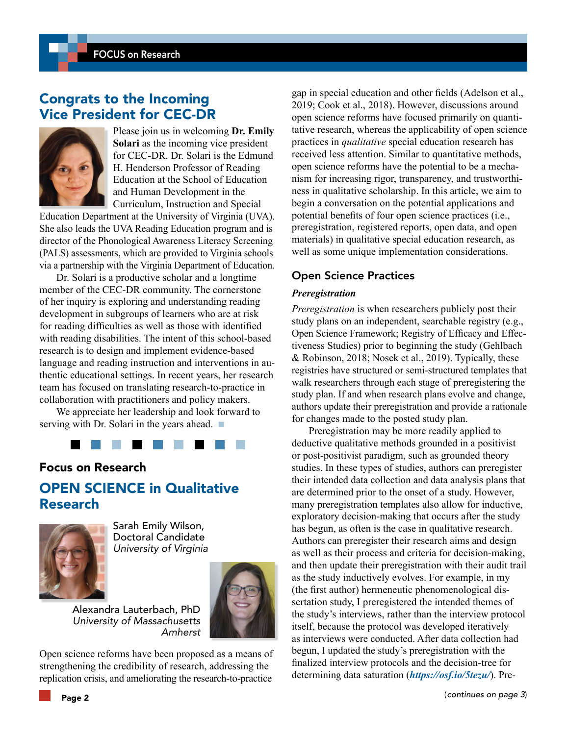# Congrats to the Incoming Vice President for CEC-DR



Please join us in welcoming **Dr. Emily Solari** as the incoming vice president for CEC-DR. Dr. Solari is the Edmund H. Henderson Professor of Reading Education at the School of Education and Human Development in the Curriculum, Instruction and Special

Education Department at the University of Virginia (UVA). She also leads the UVA Reading Education program and is director of the Phonological Awareness Literacy Screening (PALS) assessments, which are provided to Virginia schools via a partnership with the Virginia Department of Education.

Dr. Solari is a productive scholar and a longtime member of the CEC-DR community. The cornerstone of her inquiry is exploring and understanding reading development in subgroups of learners who are at risk for reading difficulties as well as those with identified with reading disabilities. The intent of this school-based research is to design and implement evidence-based language and reading instruction and interventions in authentic educational settings. In recent years, her research team has focused on translating research-to-practice in collaboration with practitioners and policy makers.

We appreciate her leadership and look forward to serving with Dr. Solari in the years ahead. ■



# Focus on Research

# OPEN SCIENCE in Qualitative Research



Sarah Emily Wilson, Doctoral Candidate *University of Virginia*

Alexandra Lauterbach, PhD *University of Massachusetts Amherst*



Open science reforms have been proposed as a means of strengthening the credibility of research, addressing the replication crisis, and ameliorating the research-to-practice

gap in special education and other fields (Adelson et al., 2019; Cook et al., 2018). However, discussions around open science reforms have focused primarily on quantitative research, whereas the applicability of open science practices in *qualitative* special education research has received less attention. Similar to quantitative methods, open science reforms have the potential to be a mechanism for increasing rigor, transparency, and trustworthiness in qualitative scholarship. In this article, we aim to begin a conversation on the potential applications and potential benefits of four open science practices (i.e., preregistration, registered reports, open data, and open materials) in qualitative special education research, as well as some unique implementation considerations.

### Open Science Practices

#### *Preregistration*

*Preregistration* is when researchers publicly post their study plans on an independent, searchable registry (e.g., Open Science Framework; Registry of Efficacy and Effectiveness Studies) prior to beginning the study (Gehlbach & Robinson, 2018; Nosek et al., 2019). Typically, these registries have structured or semi-structured templates that walk researchers through each stage of preregistering the study plan. If and when research plans evolve and change, authors update their preregistration and provide a rationale for changes made to the posted study plan.

Preregistration may be more readily applied to deductive qualitative methods grounded in a positivist or post-positivist paradigm, such as grounded theory studies. In these types of studies, authors can preregister their intended data collection and data analysis plans that are determined prior to the onset of a study. However, many preregistration templates also allow for inductive, exploratory decision-making that occurs after the study has begun, as often is the case in qualitative research. Authors can preregister their research aims and design as well as their process and criteria for decision-making, and then update their preregistration with their audit trail as the study inductively evolves. For example, in my (the first author) hermeneutic phenomenological dissertation study, I preregistered the intended themes of the study's interviews, rather than the interview protocol itself, because the protocol was developed iteratively as interviews were conducted. After data collection had begun, I updated the study's preregistration with the finalized interview protocols and the decision-tree for determining data saturation (*<https://osf.io/5tezu/>*). Pre-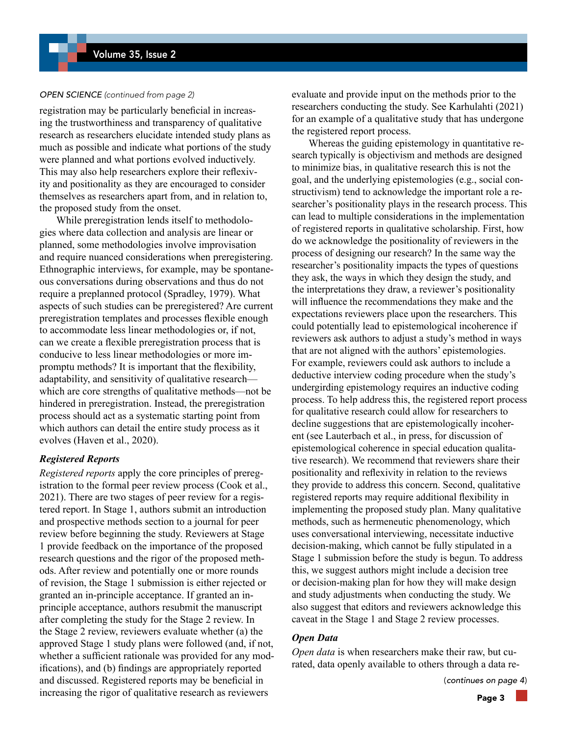#### *OPEN SCIENCE (continued from page 2)*

registration may be particularly beneficial in increasing the trustworthiness and transparency of qualitative research as researchers elucidate intended study plans as much as possible and indicate what portions of the study were planned and what portions evolved inductively. This may also help researchers explore their reflexivity and positionality as they are encouraged to consider themselves as researchers apart from, and in relation to, the proposed study from the onset.

While preregistration lends itself to methodologies where data collection and analysis are linear or planned, some methodologies involve improvisation and require nuanced considerations when preregistering. Ethnographic interviews, for example, may be spontaneous conversations during observations and thus do not require a preplanned protocol (Spradley, 1979). What aspects of such studies can be preregistered? Are current preregistration templates and processes flexible enough to accommodate less linear methodologies or, if not, can we create a flexible preregistration process that is conducive to less linear methodologies or more impromptu methods? It is important that the flexibility, adaptability, and sensitivity of qualitative research which are core strengths of qualitative methods—not be hindered in preregistration. Instead, the preregistration process should act as a systematic starting point from which authors can detail the entire study process as it evolves (Haven et al., 2020).

#### *Registered Reports*

*Registered reports* apply the core principles of preregistration to the formal peer review process (Cook et al., 2021). There are two stages of peer review for a registered report. In Stage 1, authors submit an introduction and prospective methods section to a journal for peer review before beginning the study. Reviewers at Stage 1 provide feedback on the importance of the proposed research questions and the rigor of the proposed methods. After review and potentially one or more rounds of revision, the Stage 1 submission is either rejected or granted an in-principle acceptance. If granted an inprinciple acceptance, authors resubmit the manuscript after completing the study for the Stage 2 review. In the Stage 2 review, reviewers evaluate whether (a) the approved Stage 1 study plans were followed (and, if not, whether a sufficient rationale was provided for any modifications), and (b) findings are appropriately reported and discussed. Registered reports may be beneficial in increasing the rigor of qualitative research as reviewers

evaluate and provide input on the methods prior to the researchers conducting the study. See Karhulahti (2021) for an example of a qualitative study that has undergone the registered report process.

Whereas the guiding epistemology in quantitative research typically is objectivism and methods are designed to minimize bias, in qualitative research this is not the goal, and the underlying epistemologies (e.g., social constructivism) tend to acknowledge the important role a researcher's positionality plays in the research process. This can lead to multiple considerations in the implementation of registered reports in qualitative scholarship. First, how do we acknowledge the positionality of reviewers in the process of designing our research? In the same way the researcher's positionality impacts the types of questions they ask, the ways in which they design the study, and the interpretations they draw, a reviewer's positionality will influence the recommendations they make and the expectations reviewers place upon the researchers. This could potentially lead to epistemological incoherence if reviewers ask authors to adjust a study's method in ways that are not aligned with the authors' epistemologies. For example, reviewers could ask authors to include a deductive interview coding procedure when the study's undergirding epistemology requires an inductive coding process. To help address this, the registered report process for qualitative research could allow for researchers to decline suggestions that are epistemologically incoherent (see Lauterbach et al., in press, for discussion of epistemological coherence in special education qualitative research). We recommend that reviewers share their positionality and reflexivity in relation to the reviews they provide to address this concern. Second, qualitative registered reports may require additional flexibility in implementing the proposed study plan. Many qualitative methods, such as hermeneutic phenomenology, which uses conversational interviewing, necessitate inductive decision-making, which cannot be fully stipulated in a Stage 1 submission before the study is begun. To address this, we suggest authors might include a decision tree or decision-making plan for how they will make design and study adjustments when conducting the study. We also suggest that editors and reviewers acknowledge this caveat in the Stage 1 and Stage 2 review processes.

#### *Open Data*

*Open data* is when researchers make their raw, but curated, data openly available to others through a data re-

(*continues on page 4*)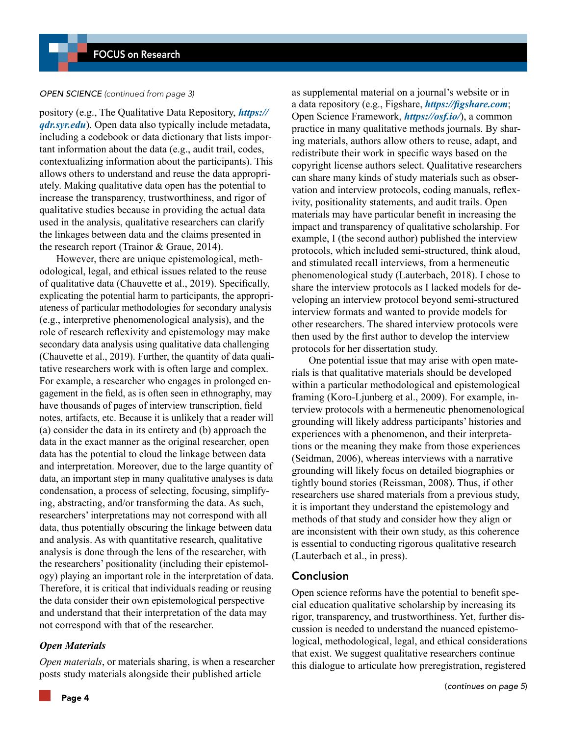#### *OPEN SCIENCE (continued from page 3)*

pository (e.g., The Qualitative Data Repository, *[https://](https://qdr.syr.edu) [qdr.syr.edu](https://qdr.syr.edu)*). Open data also typically include metadata, including a codebook or data dictionary that lists important information about the data (e.g., audit trail, codes, contextualizing information about the participants). This allows others to understand and reuse the data appropriately. Making qualitative data open has the potential to increase the transparency, trustworthiness, and rigor of qualitative studies because in providing the actual data used in the analysis, qualitative researchers can clarify the linkages between data and the claims presented in the research report (Trainor & Graue, 2014).

However, there are unique epistemological, methodological, legal, and ethical issues related to the reuse of qualitative data (Chauvette et al., 2019). Specifically, explicating the potential harm to participants, the appropriateness of particular methodologies for secondary analysis (e.g., interpretive phenomenological analysis), and the role of research reflexivity and epistemology may make secondary data analysis using qualitative data challenging (Chauvette et al., 2019). Further, the quantity of data qualitative researchers work with is often large and complex. For example, a researcher who engages in prolonged engagement in the field, as is often seen in ethnography, may have thousands of pages of interview transcription, field notes, artifacts, etc. Because it is unlikely that a reader will (a) consider the data in its entirety and (b) approach the data in the exact manner as the original researcher, open data has the potential to cloud the linkage between data and interpretation. Moreover, due to the large quantity of data, an important step in many qualitative analyses is data condensation, a process of selecting, focusing, simplifying, abstracting, and/or transforming the data. As such, researchers' interpretations may not correspond with all data, thus potentially obscuring the linkage between data and analysis. As with quantitative research, qualitative analysis is done through the lens of the researcher, with the researchers' positionality (including their epistemology) playing an important role in the interpretation of data. Therefore, it is critical that individuals reading or reusing the data consider their own epistemological perspective and understand that their interpretation of the data may not correspond with that of the researcher.

#### *Open Materials*

*Open materials*, or materials sharing, is when a researcher posts study materials alongside their published article

as supplemental material on a journal's website or in a data repository (e.g., Figshare, *<https://figshare.com>*; Open Science Framework, *<https://osf.io/>*), a common practice in many qualitative methods journals. By sharing materials, authors allow others to reuse, adapt, and redistribute their work in specific ways based on the copyright license authors select. Qualitative researchers can share many kinds of study materials such as observation and interview protocols, coding manuals, reflexivity, positionality statements, and audit trails. Open materials may have particular benefit in increasing the impact and transparency of qualitative scholarship. For example, I (the second author) published the interview protocols, which included semi-structured, think aloud, and stimulated recall interviews, from a hermeneutic phenomenological study (Lauterbach, 2018). I chose to share the interview protocols as I lacked models for developing an interview protocol beyond semi-structured interview formats and wanted to provide models for other researchers. The shared interview protocols were then used by the first author to develop the interview protocols for her dissertation study.

One potential issue that may arise with open materials is that qualitative materials should be developed within a particular methodological and epistemological framing (Koro-Ljunberg et al., 2009). For example, interview protocols with a hermeneutic phenomenological grounding will likely address participants' histories and experiences with a phenomenon, and their interpretations or the meaning they make from those experiences (Seidman, 2006), whereas interviews with a narrative grounding will likely focus on detailed biographies or tightly bound stories (Reissman, 2008). Thus, if other researchers use shared materials from a previous study, it is important they understand the epistemology and methods of that study and consider how they align or are inconsistent with their own study, as this coherence is essential to conducting rigorous qualitative research (Lauterbach et al., in press).

#### Conclusion

Open science reforms have the potential to benefit special education qualitative scholarship by increasing its rigor, transparency, and trustworthiness. Yet, further discussion is needed to understand the nuanced epistemological, methodological, legal, and ethical considerations that exist. We suggest qualitative researchers continue this dialogue to articulate how preregistration, registered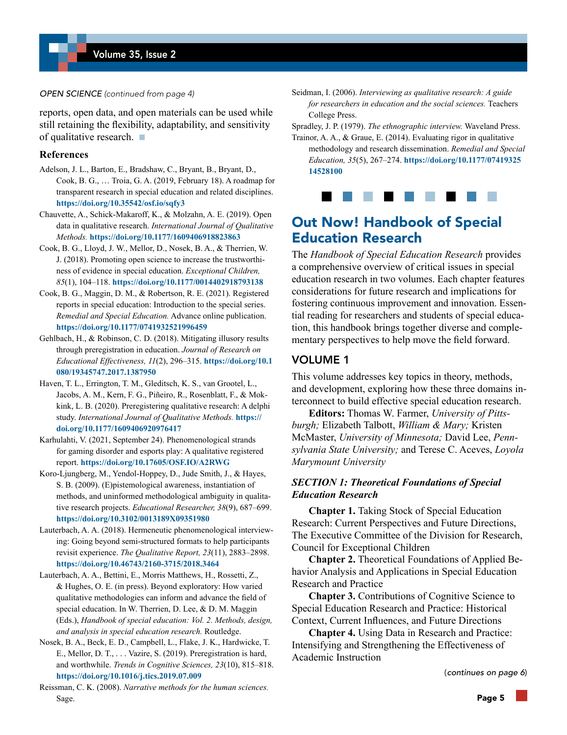#### *OPEN SCIENCE (continued from page 4)*

reports, open data, and open materials can be used while still retaining the flexibility, adaptability, and sensitivity of qualitative research. **◼**

#### **References**

- Adelson, J. L., Barton, E., Bradshaw, C., Bryant, B., Bryant, D., Cook, B. G., … Troia, G. A. (2019, February 18). A roadmap for transparent research in special education and related disciplines. **<https://doi.org/10.35542/osf.io/sqfy3>**
- Chauvette, A., Schick-Makaroff, K., & Molzahn, A. E. (2019). Open data in qualitative research. *International Journal of Qualitative Methods.* **<https://doi.org/10.1177/1609406918823863>**
- Cook, B. G., Lloyd, J. W., Mellor, D., Nosek, B. A., & Therrien, W. J. (2018). Promoting open science to increase the trustworthiness of evidence in special education. *Exceptional Children, 85*(1), 104–118. **<https://doi.org/10.1177/0014402918793138>**
- Cook, B. G., Maggin, D. M., & Robertson, R. E. (2021). Registered reports in special education: Introduction to the special series. *Remedial and Special Education.* Advance online publication. **<https://doi.org/10.1177/0741932521996459>**
- Gehlbach, H., & Robinson, C. D. (2018). Mitigating illusory results through preregistration in education. *Journal of Research on Educational Effectiveness, 11*(2), 296–315. **[https://doi.org/10.1](https://doi.org/10.1080/19345747.2017.1387950) [080/19345747.2017.1387950](https://doi.org/10.1080/19345747.2017.1387950)**
- Haven, T. L., Errington, T. M., Gleditsch, K. S., van Grootel, L., Jacobs, A. M., Kern, F. G., Piñeiro, R., Rosenblatt, F., & Mokkink, L. B. (2020). Preregistering qualitative research: A delphi study. *International Journal of Qualitative Methods.* **[https://](https://doi.org/10.1177/1609406920976417) [doi.org/10.1177/1609406920976417](https://doi.org/10.1177/1609406920976417)**
- Karhulahti, V. (2021, September 24). Phenomenological strands for gaming disorder and esports play: A qualitative registered report. **<https://doi.org/10.17605/OSF.IO/A2RWG>**
- Koro-Ljungberg, M., Yendol-Hoppey, D., Jude Smith, J., & Hayes, S. B. (2009). (E)pistemological awareness, instantiation of methods, and uninformed methodological ambiguity in qualitative research projects. *Educational Researcher, 38*(9), 687–699. **<https://doi.org/10.3102/0013189X09351980>**
- Lauterbach, A. A. (2018). Hermeneutic phenomenological interviewing: Going beyond semi-structured formats to help participants revisit experience. *The Qualitative Report, 23*(11), 2883–2898. **<https://doi.org/10.46743/2160-3715/2018.3464>**
- Lauterbach, A. A., Bettini, E., Morris Matthews, H., Rossetti, Z., & Hughes, O. E. (in press). Beyond exploratory: How varied qualitative methodologies can inform and advance the field of special education. In W. Therrien, D. Lee, & D. M. Maggin (Eds.), *Handbook of special education: Vol. 2. Methods, design, and analysis in special education research.* Routledge.
- Nosek, B. A., Beck, E. D., Campbell, L., Flake, J. K., Hardwicke, T. E., Mellor, D. T., . . . Vazire, S. (2019). Preregistration is hard, and worthwhile. *Trends in Cognitive Sciences, 23*(10), 815–818. **<https://doi.org/10.1016/j.tics.2019.07.009>**
- Reissman, C. K. (2008). *Narrative methods for the human sciences.*  Sage.
- Seidman, I. (2006). *Interviewing as qualitative research: A guide for researchers in education and the social sciences.* Teachers College Press.
- Spradley, J. P. (1979). *The ethnographic interview.* Waveland Press. Trainor, A. A., & Graue, E. (2014). Evaluating rigor in qualitative
- methodology and research dissemination. *Remedial and Special Education, 35*(5), 267–274. **[https://doi.org/10.1177/07419325](https://doi.org/10.1177/0741932514528100) [14528100](https://doi.org/10.1177/0741932514528100)**



# Out Now! Handbook of Special Education Research

The *Handbook of Special Education Research* provides a comprehensive overview of critical issues in special education research in two volumes. Each chapter features considerations for future research and implications for fostering continuous improvement and innovation. Essential reading for researchers and students of special education, this handbook brings together diverse and complementary perspectives to help move the field forward.

#### VOLUME 1

This volume addresses key topics in theory, methods, and development, exploring how these three domains interconnect to build effective special education research.

**Editors:** Thomas W. Farmer, *University of Pittsburgh;* Elizabeth Talbott, *William & Mary;* Kristen McMaster, *University of Minnesota;* David Lee, *Pennsylvania State University;* and Terese C. Aceves, *Loyola Marymount University*

#### *SECTION 1: Theoretical Foundations of Special Education Research*

**Chapter 1.** Taking Stock of Special Education Research: Current Perspectives and Future Directions, The Executive Committee of the Division for Research, Council for Exceptional Children

**Chapter 2.** Theoretical Foundations of Applied Behavior Analysis and Applications in Special Education Research and Practice

**Chapter 3.** Contributions of Cognitive Science to Special Education Research and Practice: Historical Context, Current Influences, and Future Directions

**Chapter 4.** Using Data in Research and Practice: Intensifying and Strengthening the Effectiveness of Academic Instruction

(*continues on page 6*)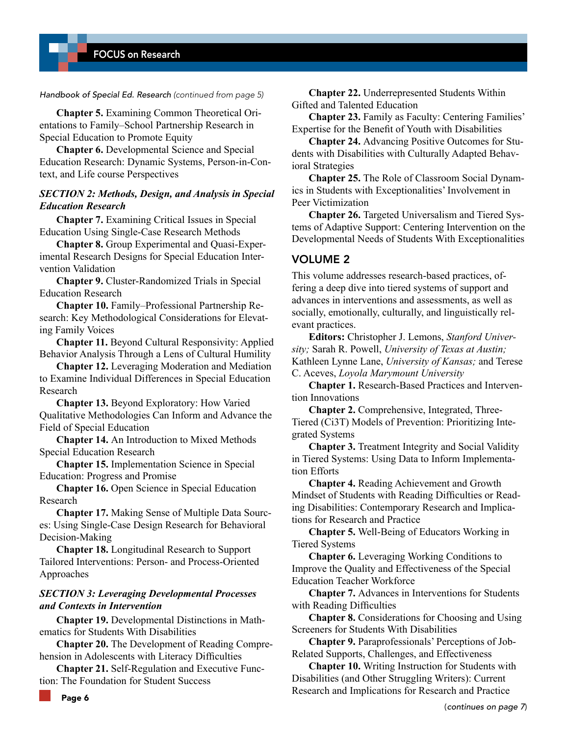#### *Handbook of Special Ed. Research (continued from page 5)*

**Chapter 5.** Examining Common Theoretical Orientations to Family–School Partnership Research in Special Education to Promote Equity

**Chapter 6.** Developmental Science and Special Education Research: Dynamic Systems, Person-in-Context, and Life course Perspectives

#### *SECTION 2: Methods, Design, and Analysis in Special Education Research*

**Chapter 7.** Examining Critical Issues in Special Education Using Single-Case Research Methods

**Chapter 8.** Group Experimental and Quasi-Experimental Research Designs for Special Education Intervention Validation

**Chapter 9.** Cluster-Randomized Trials in Special Education Research

**Chapter 10.** Family–Professional Partnership Research: Key Methodological Considerations for Elevating Family Voices

**Chapter 11.** Beyond Cultural Responsivity: Applied Behavior Analysis Through a Lens of Cultural Humility

**Chapter 12.** Leveraging Moderation and Mediation to Examine Individual Differences in Special Education Research

**Chapter 13.** Beyond Exploratory: How Varied Qualitative Methodologies Can Inform and Advance the Field of Special Education

**Chapter 14.** An Introduction to Mixed Methods Special Education Research

**Chapter 15.** Implementation Science in Special Education: Progress and Promise

**Chapter 16.** Open Science in Special Education Research

**Chapter 17.** Making Sense of Multiple Data Sources: Using Single-Case Design Research for Behavioral Decision-Making

**Chapter 18.** Longitudinal Research to Support Tailored Interventions: Person- and Process-Oriented Approaches

#### *SECTION 3: Leveraging Developmental Processes and Contexts in Intervention*

**Chapter 19.** Developmental Distinctions in Mathematics for Students With Disabilities

**Chapter 20.** The Development of Reading Comprehension in Adolescents with Literacy Difficulties

**Chapter 21.** Self-Regulation and Executive Function: The Foundation for Student Success

**Chapter 22.** Underrepresented Students Within Gifted and Talented Education

**Chapter 23.** Family as Faculty: Centering Families' Expertise for the Benefit of Youth with Disabilities

**Chapter 24.** Advancing Positive Outcomes for Students with Disabilities with Culturally Adapted Behavioral Strategies

**Chapter 25.** The Role of Classroom Social Dynamics in Students with Exceptionalities' Involvement in Peer Victimization

**Chapter 26.** Targeted Universalism and Tiered Systems of Adaptive Support: Centering Intervention on the Developmental Needs of Students With Exceptionalities

#### VOLUME 2

This volume addresses research-based practices, offering a deep dive into tiered systems of support and advances in interventions and assessments, as well as socially, emotionally, culturally, and linguistically relevant practices.

**Editors:** Christopher J. Lemons, *Stanford University;* Sarah R. Powell, *University of Texas at Austin;* Kathleen Lynne Lane, *University of Kansas;* and Terese C. Aceves, *Loyola Marymount University*

**Chapter 1.** Research-Based Practices and Intervention Innovations

**Chapter 2.** Comprehensive, Integrated, Three-Tiered (Ci3T) Models of Prevention: Prioritizing Integrated Systems

**Chapter 3.** Treatment Integrity and Social Validity in Tiered Systems: Using Data to Inform Implementation Efforts

**Chapter 4.** Reading Achievement and Growth Mindset of Students with Reading Difficulties or Reading Disabilities: Contemporary Research and Implications for Research and Practice

**Chapter 5.** Well-Being of Educators Working in Tiered Systems

**Chapter 6.** Leveraging Working Conditions to Improve the Quality and Effectiveness of the Special Education Teacher Workforce

**Chapter 7.** Advances in Interventions for Students with Reading Difficulties

**Chapter 8.** Considerations for Choosing and Using Screeners for Students With Disabilities

**Chapter 9.** Paraprofessionals' Perceptions of Job-Related Supports, Challenges, and Effectiveness

**Chapter 10.** Writing Instruction for Students with Disabilities (and Other Struggling Writers): Current Research and Implications for Research and Practice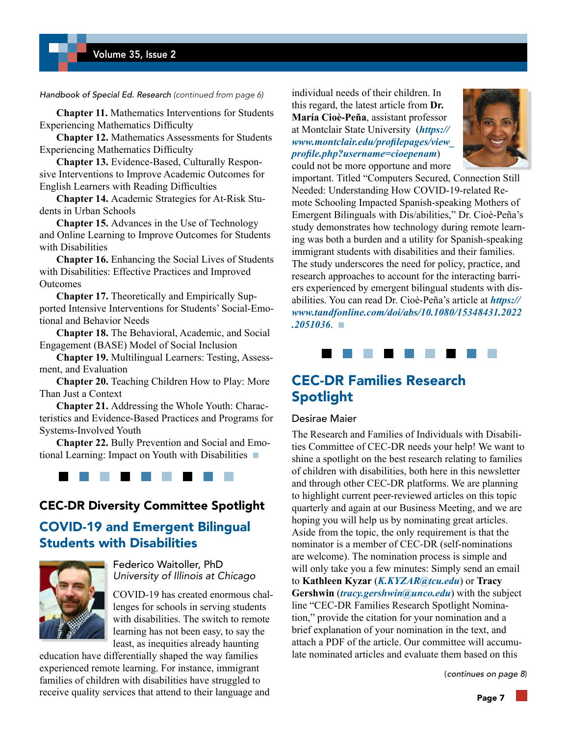#### *Handbook of Special Ed. Research (continued from page 6)*

**Chapter 11.** Mathematics Interventions for Students Experiencing Mathematics Difficulty

**Chapter 12.** Mathematics Assessments for Students Experiencing Mathematics Difficulty

**Chapter 13.** Evidence-Based, Culturally Responsive Interventions to Improve Academic Outcomes for English Learners with Reading Difficulties

**Chapter 14.** Academic Strategies for At-Risk Students in Urban Schools

**Chapter 15.** Advances in the Use of Technology and Online Learning to Improve Outcomes for Students with Disabilities

**Chapter 16.** Enhancing the Social Lives of Students with Disabilities: Effective Practices and Improved **Outcomes** 

**Chapter 17.** Theoretically and Empirically Supported Intensive Interventions for Students' Social-Emotional and Behavior Needs

**Chapter 18.** The Behavioral, Academic, and Social Engagement (BASE) Model of Social Inclusion

**Chapter 19.** Multilingual Learners: Testing, Assessment, and Evaluation

**Chapter 20.** Teaching Children How to Play: More Than Just a Context

**Chapter 21.** Addressing the Whole Youth: Characteristics and Evidence-Based Practices and Programs for Systems-Involved Youth

**Chapter 22.** Bully Prevention and Social and Emotional Learning: Impact on Youth with Disabilities **◼**



## CEC-DR Diversity Committee Spotlight

# COVID-19 and Emergent Bilingual Students with Disabilities



Federico Waitoller, PhD *University of Illinois at Chicago*

COVID-19 has created enormous challenges for schools in serving students with disabilities. The switch to remote learning has not been easy, to say the least, as inequities already haunting

education have differentially shaped the way families experienced remote learning. For instance, immigrant families of children with disabilities have struggled to receive quality services that attend to their language and individual needs of their children. In this regard, the latest article from **Dr. María Cioè-Peña**, assistant professor at Montclair State University (*[https://](https://www.montclair.edu/profilepages/view_profile.php?username=cioepenam) [www.montclair.edu/profilepages/view\\_](https://www.montclair.edu/profilepages/view_profile.php?username=cioepenam) [profile.php?username=cioepenam](https://www.montclair.edu/profilepages/view_profile.php?username=cioepenam)*)

could not be more opportune and more



important. Titled "Computers Secured, Connection Still Needed: Understanding How COVID-19-related Remote Schooling Impacted Spanish-speaking Mothers of Emergent Bilinguals with Dis/abilities," Dr. Cioè-Peña's study demonstrates how technology during remote learning was both a burden and a utility for Spanish-speaking immigrant students with disabilities and their families. The study underscores the need for policy, practice, and research approaches to account for the interacting barriers experienced by emergent bilingual students with disabilities. You can read Dr. Cioè-Peña's article at *[https://](https://www.tandfonline.com/doi/abs/10.1080/15348431.2022.2051036) [www.tandfonline.com/doi/abs/10.1080/15348431.2022](https://www.tandfonline.com/doi/abs/10.1080/15348431.2022.2051036) [.2051036](https://www.tandfonline.com/doi/abs/10.1080/15348431.2022.2051036)*. **◼**



# CEC-DR Families Research Spotlight

#### Desirae Maier

The Research and Families of Individuals with Disabilities Committee of CEC-DR needs your help! We want to shine a spotlight on the best research relating to families of children with disabilities, both here in this newsletter and through other CEC-DR platforms. We are planning to highlight current peer-reviewed articles on this topic quarterly and again at our Business Meeting, and we are hoping you will help us by nominating great articles. Aside from the topic, the only requirement is that the nominator is a member of CEC-DR (self-nominations are welcome). The nomination process is simple and will only take you a few minutes: Simply send an email to **Kathleen Kyzar** (*[K.KYZAR@tcu.edu](mailto:K.KYZAR@tcu.edu)*) or **Tracy Gershwin** (*[tracy.gershwin@unco.edu](mailto:tracy.gershwin@unco.edu)*) with the subject line "CEC-DR Families Research Spotlight Nomination," provide the citation for your nomination and a brief explanation of your nomination in the text, and attach a PDF of the article. Our committee will accumulate nominated articles and evaluate them based on this

(*continues on page 8*)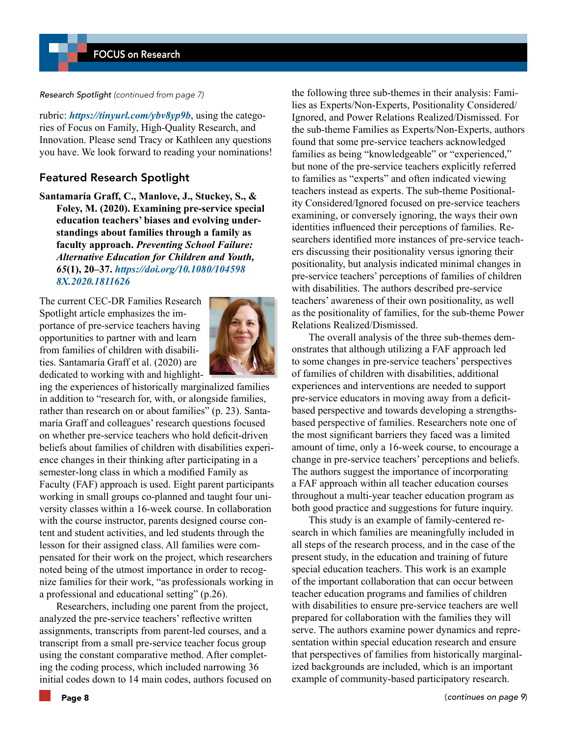#### *Research Spotlight (continued from page 7)*

rubric: *<https://tinyurl.com/ybv8yp9b>*, using the categories of Focus on Family, High-Quality Research, and Innovation. Please send Tracy or Kathleen any questions you have. We look forward to reading your nominations!

# Featured Research Spotlight

**Santamaría Graff, C., Manlove, J., Stuckey, S., & Foley, M. (2020). Examining pre-service special education teachers' biases and evolving understandings about families through a family as faculty approach.** *Preventing School Failure: Alternative Education for Children and Youth, 65***(1), 20–37.** *[https://doi.org/10.1080/104598](https://doi.org/10.1080/1045988X.2020.1811626) [8X.2020.1811626](https://doi.org/10.1080/1045988X.2020.1811626)*

The current CEC-DR Families Research Spotlight article emphasizes the importance of pre-service teachers having opportunities to partner with and learn from families of children with disabilities. Santamaría Graff et al. (2020) are dedicated to working with and highlight-



ing the experiences of historically marginalized families in addition to "research for, with, or alongside families, rather than research on or about families" (p. 23). Santamaría Graff and colleagues' research questions focused on whether pre-service teachers who hold deficit-driven beliefs about families of children with disabilities experience changes in their thinking after participating in a semester-long class in which a modified Family as Faculty (FAF) approach is used. Eight parent participants working in small groups co-planned and taught four university classes within a 16-week course. In collaboration with the course instructor, parents designed course content and student activities, and led students through the lesson for their assigned class. All families were compensated for their work on the project, which researchers noted being of the utmost importance in order to recognize families for their work, "as professionals working in a professional and educational setting" (p.26).

Researchers, including one parent from the project, analyzed the pre-service teachers' reflective written assignments, transcripts from parent-led courses, and a transcript from a small pre-service teacher focus group using the constant comparative method. After completing the coding process, which included narrowing 36 initial codes down to 14 main codes, authors focused on

the following three sub-themes in their analysis: Families as Experts/Non-Experts, Positionality Considered/ Ignored, and Power Relations Realized/Dismissed. For the sub-theme Families as Experts/Non-Experts, authors found that some pre-service teachers acknowledged families as being "knowledgeable" or "experienced," but none of the pre-service teachers explicitly referred to families as "experts" and often indicated viewing teachers instead as experts. The sub-theme Positionality Considered/Ignored focused on pre-service teachers examining, or conversely ignoring, the ways their own identities influenced their perceptions of families. Researchers identified more instances of pre-service teachers discussing their positionality versus ignoring their positionality, but analysis indicated minimal changes in pre-service teachers' perceptions of families of children with disabilities. The authors described pre-service teachers' awareness of their own positionality, as well as the positionality of families, for the sub-theme Power Relations Realized/Dismissed.

The overall analysis of the three sub-themes demonstrates that although utilizing a FAF approach led to some changes in pre-service teachers' perspectives of families of children with disabilities, additional experiences and interventions are needed to support pre-service educators in moving away from a deficitbased perspective and towards developing a strengthsbased perspective of families. Researchers note one of the most significant barriers they faced was a limited amount of time, only a 16-week course, to encourage a change in pre-service teachers' perceptions and beliefs. The authors suggest the importance of incorporating a FAF approach within all teacher education courses throughout a multi-year teacher education program as both good practice and suggestions for future inquiry.

This study is an example of family-centered research in which families are meaningfully included in all steps of the research process, and in the case of the present study, in the education and training of future special education teachers. This work is an example of the important collaboration that can occur between teacher education programs and families of children with disabilities to ensure pre-service teachers are well prepared for collaboration with the families they will serve. The authors examine power dynamics and representation within special education research and ensure that perspectives of families from historically marginalized backgrounds are included, which is an important example of community-based participatory research.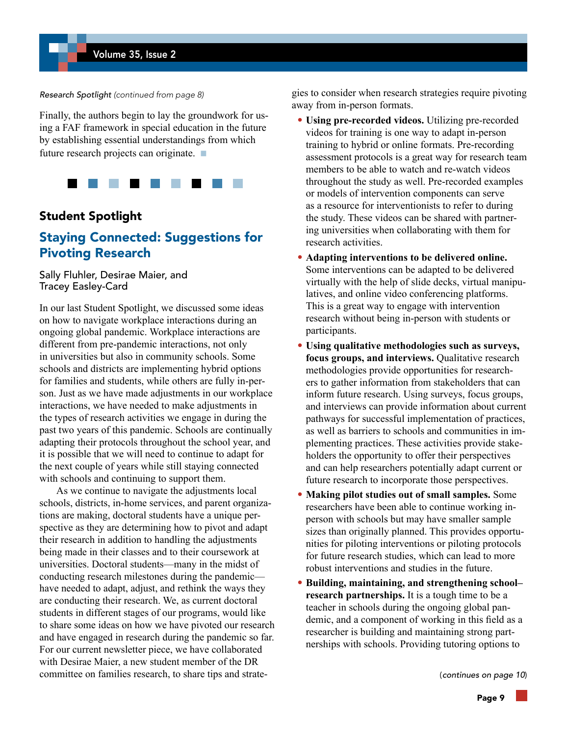#### *Research Spotlight (continued from page 8)*

Finally, the authors begin to lay the groundwork for using a FAF framework in special education in the future by establishing essential understandings from which future research projects can originate. **◼**



### Student Spotlight

# Staying Connected: Suggestions for Pivoting Research

Sally Fluhler, Desirae Maier, and Tracey Easley-Card

In our last Student Spotlight, we discussed some ideas on how to navigate workplace interactions during an ongoing global pandemic. Workplace interactions are different from pre-pandemic interactions, not only in universities but also in community schools. Some schools and districts are implementing hybrid options for families and students, while others are fully in-person. Just as we have made adjustments in our workplace interactions, we have needed to make adjustments in the types of research activities we engage in during the past two years of this pandemic. Schools are continually adapting their protocols throughout the school year, and it is possible that we will need to continue to adapt for the next couple of years while still staying connected with schools and continuing to support them.

As we continue to navigate the adjustments local schools, districts, in-home services, and parent organizations are making, doctoral students have a unique perspective as they are determining how to pivot and adapt their research in addition to handling the adjustments being made in their classes and to their coursework at universities. Doctoral students—many in the midst of conducting research milestones during the pandemic have needed to adapt, adjust, and rethink the ways they are conducting their research. We, as current doctoral students in different stages of our programs, would like to share some ideas on how we have pivoted our research and have engaged in research during the pandemic so far. For our current newsletter piece, we have collaborated with Desirae Maier, a new student member of the DR committee on families research, to share tips and strategies to consider when research strategies require pivoting away from in-person formats.

- **Using pre-recorded videos.** Utilizing pre-recorded videos for training is one way to adapt in-person training to hybrid or online formats. Pre-recording assessment protocols is a great way for research team members to be able to watch and re-watch videos throughout the study as well. Pre-recorded examples or models of intervention components can serve as a resource for interventionists to refer to during the study. These videos can be shared with partnering universities when collaborating with them for research activities.
- **Adapting interventions to be delivered online.** Some interventions can be adapted to be delivered virtually with the help of slide decks, virtual manipulatives, and online video conferencing platforms. This is a great way to engage with intervention research without being in-person with students or participants.
- **Using qualitative methodologies such as surveys, focus groups, and interviews.** Qualitative research methodologies provide opportunities for researchers to gather information from stakeholders that can inform future research. Using surveys, focus groups, and interviews can provide information about current pathways for successful implementation of practices, as well as barriers to schools and communities in implementing practices. These activities provide stakeholders the opportunity to offer their perspectives and can help researchers potentially adapt current or future research to incorporate those perspectives.
- **Making pilot studies out of small samples.** Some researchers have been able to continue working inperson with schools but may have smaller sample sizes than originally planned. This provides opportunities for piloting interventions or piloting protocols for future research studies, which can lead to more robust interventions and studies in the future.
- **Building, maintaining, and strengthening school– research partnerships.** It is a tough time to be a teacher in schools during the ongoing global pandemic, and a component of working in this field as a researcher is building and maintaining strong partnerships with schools. Providing tutoring options to

(*continues on page 10*)